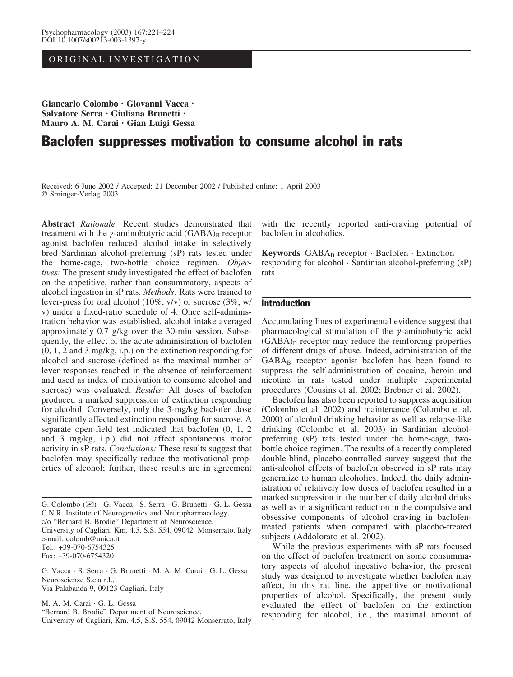# ORIGINAL INVESTIGATION

Giancarlo Colombo · Giovanni Vacca · Salvatore Serra · Giuliana Brunetti · Mauro A. M. Carai · Gian Luigi Gessa

# Baclofen suppresses motivation to consume alcohol in rats

Received: 6 June 2002 / Accepted: 21 December 2002 / Published online: 1 April 2003 Springer-Verlag 2003

Abstract Rationale: Recent studies demonstrated that treatment with the  $\gamma$ -aminobutyric acid (GABA)<sub>B</sub> receptor agonist baclofen reduced alcohol intake in selectively bred Sardinian alcohol-preferring (sP) rats tested under the home-cage, two-bottle choice regimen. Objectives: The present study investigated the effect of baclofen on the appetitive, rather than consummatory, aspects of alcohol ingestion in sP rats. Methods: Rats were trained to lever-press for oral alcohol (10%, v/v) or sucrose (3%, w/ v) under a fixed-ratio schedule of 4. Once self-administration behavior was established, alcohol intake averaged approximately 0.7 g/kg over the 30-min session. Subsequently, the effect of the acute administration of baclofen (0, 1, 2 and 3 mg/kg, i.p.) on the extinction responding for alcohol and sucrose (defined as the maximal number of lever responses reached in the absence of reinforcement and used as index of motivation to consume alcohol and sucrose) was evaluated. Results: All doses of baclofen produced a marked suppression of extinction responding for alcohol. Conversely, only the 3-mg/kg baclofen dose significantly affected extinction responding for sucrose. A separate open-field test indicated that baclofen (0, 1, 2 and 3 mg/kg, i.p.) did not affect spontaneous motor activity in sP rats. Conclusions: These results suggest that baclofen may specifically reduce the motivational properties of alcohol; further, these results are in agreement

University of Cagliari, Km. 4.5, S.S. 554, 09042 Monserrato, Italy e-mail: colomb@unica.it Tel.: +39-070-6754325

Fax: +39-070-6754320

G. Vacca · S. Serra · G. Brunetti · M. A. M. Carai · G. L. Gessa Neuroscienze S.c.a r.l., Via Palabanda 9, 09123 Cagliari, Italy

M. A. M. Carai · G. L. Gessa "Bernard B. Brodie" Department of Neuroscience, University of Cagliari, Km. 4.5, S.S. 554, 09042 Monserrato, Italy

with the recently reported anti-craving potential of baclofen in alcoholics.

Keywords  $GABA_B$  receptor  $\cdot$  Baclofen  $\cdot$  Extinction responding for alcohol · Sardinian alcohol-preferring (sP) rats

## Introduction

Accumulating lines of experimental evidence suggest that pharmacological stimulation of the  $\gamma$ -aminobutyric acid  $(GABA)_B$  receptor may reduce the reinforcing properties of different drugs of abuse. Indeed, administration of the  $GABA_B$  receptor agonist baclofen has been found to suppress the self-administration of cocaine, heroin and nicotine in rats tested under multiple experimental procedures (Cousins et al. 2002; Brebner et al. 2002).

Baclofen has also been reported to suppress acquisition (Colombo et al. 2002) and maintenance (Colombo et al. 2000) of alcohol drinking behavior as well as relapse-like drinking (Colombo et al. 2003) in Sardinian alcoholpreferring (sP) rats tested under the home-cage, twobottle choice regimen. The results of a recently completed double-blind, placebo-controlled survey suggest that the anti-alcohol effects of baclofen observed in sP rats may generalize to human alcoholics. Indeed, the daily administration of relatively low doses of baclofen resulted in a marked suppression in the number of daily alcohol drinks as well as in a significant reduction in the compulsive and obsessive components of alcohol craving in baclofentreated patients when compared with placebo-treated subjects (Addolorato et al. 2002).

While the previous experiments with sP rats focused on the effect of baclofen treatment on some consummatory aspects of alcohol ingestive behavior, the present study was designed to investigate whether baclofen may affect, in this rat line, the appetitive or motivational properties of alcohol. Specifically, the present study evaluated the effect of baclofen on the extinction responding for alcohol, i.e., the maximal amount of

G. Colombo (*)*) · G. Vacca · S. Serra · G. Brunetti · G. L. Gessa C.N.R. Institute of Neurogenetics and Neuropharmacology, c/o "Bernard B. Brodie" Department of Neuroscience,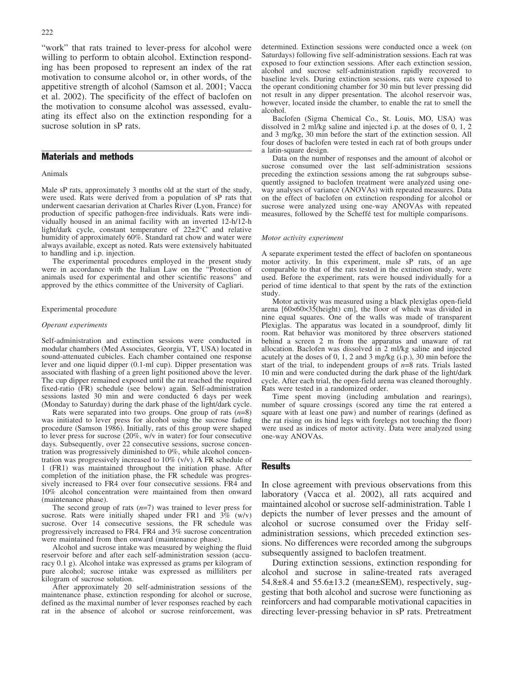"work" that rats trained to lever-press for alcohol were willing to perform to obtain alcohol. Extinction responding has been proposed to represent an index of the rat motivation to consume alcohol or, in other words, of the appetitive strength of alcohol (Samson et al. 2001; Vacca et al. 2002). The specificity of the effect of baclofen on the motivation to consume alcohol was assessed, evaluating its effect also on the extinction responding for a sucrose solution in sP rats.

# Materials and methods

### Animals

Male sP rats, approximately 3 months old at the start of the study, were used. Rats were derived from a population of sP rats that underwent caesarian derivation at Charles River (Lyon, France) for production of specific pathogen-free individuals. Rats were individually housed in an animal facility with an inverted 12-h/12-h light/dark cycle, constant temperature of  $22 \pm 2^{\circ}$ C and relative humidity of approximately 60%. Standard rat chow and water were always available, except as noted. Rats were extensively habituated to handling and i.p. injection.

The experimental procedures employed in the present study were in accordance with the Italian Law on the "Protection of animals used for experimental and other scientific reasons" and approved by the ethics committee of the University of Cagliari.

#### Experimental procedure

#### Operant experiments

Self-administration and extinction sessions were conducted in modular chambers (Med Associates, Georgia, VT, USA) located in sound-attenuated cubicles. Each chamber contained one response lever and one liquid dipper (0.1-ml cup). Dipper presentation was associated with flashing of a green light positioned above the lever. The cup dipper remained exposed until the rat reached the required fixed-ratio (FR) schedule (see below) again. Self-administration sessions lasted 30 min and were conducted 6 days per week (Monday to Saturday) during the dark phase of the light/dark cycle.

Rats were separated into two groups. One group of rats  $(n=8)$ was initiated to lever press for alcohol using the sucrose fading procedure (Samson 1986). Initially, rats of this group were shaped to lever press for sucrose (20%, w/v in water) for four consecutive days. Subsequently, over 22 consecutive sessions, sucrose concentration was progressively diminished to 0%, while alcohol concentration was progressively increased to 10% (v/v). A FR schedule of 1 (FR1) was maintained throughout the initiation phase. After completion of the initiation phase, the FR schedule was progressively increased to FR4 over four consecutive sessions. FR4 and 10% alcohol concentration were maintained from then onward (maintenance phase).

The second group of rats  $(n=7)$  was trained to lever press for sucrose. Rats were initially shaped under FR1 and  $3\%$  (w/v) sucrose. Over 14 consecutive sessions, the FR schedule was progressively increased to FR4. FR4 and 3% sucrose concentration were maintained from then onward (maintenance phase).

Alcohol and sucrose intake was measured by weighing the fluid reservoir before and after each self-administration session (accuracy 0.1 g). Alcohol intake was expressed as grams per kilogram of pure alcohol; sucrose intake was expressed as milliliters per kilogram of sucrose solution.

After approximately 20 self-administration sessions of the maintenance phase, extinction responding for alcohol or sucrose, defined as the maximal number of lever responses reached by each rat in the absence of alcohol or sucrose reinforcement, was determined. Extinction sessions were conducted once a week (on Saturdays) following five self-administration sessions. Each rat was exposed to four extinction sessions. After each extinction session, alcohol and sucrose self-administration rapidly recovered to baseline levels. During extinction sessions, rats were exposed to the operant conditioning chamber for 30 min but lever pressing did not result in any dipper presentation. The alcohol reservoir was, however, located inside the chamber, to enable the rat to smell the alcohol.

Baclofen (Sigma Chemical Co., St. Louis, MO, USA) was dissolved in 2 ml/kg saline and injected i.p. at the doses of 0, 1, 2 and 3 mg/kg, 30 min before the start of the extinction session. All four doses of baclofen were tested in each rat of both groups under a latin-square design.

Data on the number of responses and the amount of alcohol or sucrose consumed over the last self-administration sessions preceding the extinction sessions among the rat subgroups subsequently assigned to baclofen treatment were analyzed using oneway analyses of variance (ANOVAs) with repeated measures. Data on the effect of baclofen on extinction responding for alcohol or sucrose were analyzed using one-way ANOVAs with repeated measures, followed by the Scheffé test for multiple comparisons.

#### Motor activity experiment

A separate experiment tested the effect of baclofen on spontaneous motor activity. In this experiment, male sP rats, of an age comparable to that of the rats tested in the extinction study, were used. Before the experiment, rats were housed individually for a period of time identical to that spent by the rats of the extinction study.

Motor activity was measured using a black plexiglas open-field arena  $[60 \times 60 \times 35$ (height) cm], the floor of which was divided in nine equal squares. One of the walls was made of transparent Plexiglas. The apparatus was located in a soundproof, dimly lit room. Rat behavior was monitored by three observers stationed behind a screen 2 m from the apparatus and unaware of rat allocation. Baclofen was dissolved in 2 ml/kg saline and injected acutely at the doses of 0, 1, 2 and 3 mg/kg (i.p.), 30 min before the start of the trial, to independent groups of  $n=8$  rats. Trials lasted 10 min and were conducted during the dark phase of the light/dark cycle. After each trial, the open-field arena was cleaned thoroughly. Rats were tested in a randomized order.

Time spent moving (including ambulation and rearings), number of square crossings (scored any time the rat entered a square with at least one paw) and number of rearings (defined as the rat rising on its hind legs with forelegs not touching the floor) were used as indices of motor activity. Data were analyzed using one-way ANOVAs.

## **Results**

In close agreement with previous observations from this laboratory (Vacca et al. 2002), all rats acquired and maintained alcohol or sucrose self-administration. Table 1 depicts the number of lever presses and the amount of alcohol or sucrose consumed over the Friday selfadministration sessions, which preceded extinction sessions. No differences were recorded among the subgroups subsequently assigned to baclofen treatment.

During extinction sessions, extinction responding for alcohol and sucrose in saline-treated rats averaged  $54.8\pm8.4$  and  $55.6\pm13.2$  (mean $\pm$ SEM), respectively, suggesting that both alcohol and sucrose were functioning as reinforcers and had comparable motivational capacities in directing lever-pressing behavior in sP rats. Pretreatment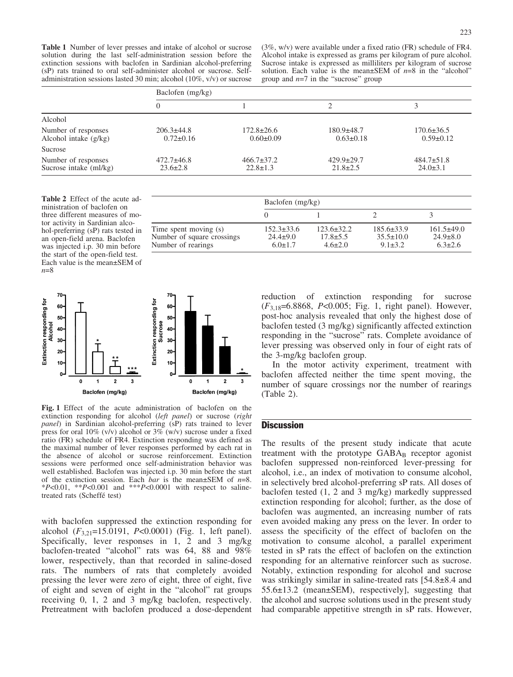Table 1 Number of lever presses and intake of alcohol or sucrose solution during the last self-administration session before the extinction sessions with baclofen in Sardinian alcohol-preferring (sP) rats trained to oral self-administer alcohol or sucrose. Selfadministration sessions lasted 30 min; alcohol (10%, v/v) or sucrose

(3%, w/v) were available under a fixed ratio (FR) schedule of FR4. Alcohol intake is expressed as grams per kilogram of pure alcohol. Sucrose intake is expressed as milliliters per kilogram of sucrose solution. Each value is the mean $\pm$ SEM of  $n=8$  in the "alcohol" group and  $n=7$  in the "sucrose" group

|                                                | Baclofen (mg/kg)                    |                                     |                                     |                                     |  |  |
|------------------------------------------------|-------------------------------------|-------------------------------------|-------------------------------------|-------------------------------------|--|--|
|                                                | 0                                   |                                     |                                     |                                     |  |  |
| Alcohol                                        |                                     |                                     |                                     |                                     |  |  |
| Number of responses<br>Alcohol intake $(g/kg)$ | $206.3 \pm 44.8$<br>$0.72 \pm 0.16$ | $172.8 \pm 26.6$<br>$0.60 \pm 0.09$ | $180.9 \pm 48.7$<br>$0.63 \pm 0.18$ | $170.6 \pm 36.5$<br>$0.59 \pm 0.12$ |  |  |
| Sucrose                                        |                                     |                                     |                                     |                                     |  |  |
| Number of responses<br>Sucrose intake (ml/kg)  | $472.7 + 46.8$<br>$23.6 \pm 2.8$    | $466.7 \pm 37.2$<br>$22.8 \pm 1.3$  | $429.9 \pm 29.7$<br>$21.8 \pm 2.5$  | $484.7 \pm 51.8$<br>$24.0 \pm 3.1$  |  |  |

Table 2 Effect of the acute administration of baclofen on three different measures of motor activity in Sardinian alcohol-preferring (sP) rats tested in an open-field arena. Baclofen was injected i.p. 30 min before the start of the open-field test. Each value is the mean±SEM of  $n=8$ 

|                                                                           | Baclofen $(mg/kg)$                                  |                                                     |                                                      |                                                    |  |  |
|---------------------------------------------------------------------------|-----------------------------------------------------|-----------------------------------------------------|------------------------------------------------------|----------------------------------------------------|--|--|
|                                                                           |                                                     |                                                     |                                                      |                                                    |  |  |
| Time spent moving (s)<br>Number of square crossings<br>Number of rearings | $152.3 \pm 33.6$<br>$24.4 \pm 9.0$<br>$6.0 \pm 1.7$ | $123.6 \pm 32.2$<br>$17.8 \pm 5.5$<br>$4.6 \pm 2.0$ | $185.6 \pm 33.9$<br>$35.5 \pm 10.0$<br>$9.1 \pm 3.2$ | $161.5\pm 49.0$<br>$24.9 \pm 8.0$<br>$6.3 \pm 2.6$ |  |  |



Fig. 1 Effect of the acute administration of baclofen on the extinction responding for alcohol (left panel) or sucrose (right panel) in Sardinian alcohol-preferring (sP) rats trained to lever press for oral 10% (v/v) alcohol or  $3\%$  (w/v) sucrose under a fixed ratio (FR) schedule of FR4. Extinction responding was defined as the maximal number of lever responses performed by each rat in the absence of alcohol or sucrose reinforcement. Extinction sessions were performed once self-administration behavior was well established. Baclofen was injected i.p. 30 min before the start of the extinction session. Each *bar* is the mean $\pm$ SEM of *n*=8.  $*P<0.01$ ,  $*P<0.001$  and  $**P<0.0001$  with respect to salinetreated rats (Scheffé test)

with baclofen suppressed the extinction responding for alcohol  $(F_{3,21}=15.0191, P<0.0001)$  (Fig. 1, left panel). Specifically, lever responses in 1, 2 and 3 mg/kg baclofen-treated "alcohol" rats was 64, 88 and 98% lower, respectively, than that recorded in saline-dosed rats. The numbers of rats that completely avoided pressing the lever were zero of eight, three of eight, five of eight and seven of eight in the "alcohol" rat groups receiving 0, 1, 2 and 3 mg/kg baclofen, respectively. Pretreatment with baclofen produced a dose-dependent reduction of extinction responding for sucrose  $(F_{3,18}=6.8868, P<0.005;$  Fig. 1, right panel). However, post-hoc analysis revealed that only the highest dose of baclofen tested (3 mg/kg) significantly affected extinction responding in the "sucrose" rats. Complete avoidance of lever pressing was observed only in four of eight rats of the 3-mg/kg baclofen group.

In the motor activity experiment, treatment with baclofen affected neither the time spent moving, the number of square crossings nor the number of rearings (Table 2).

## **Discussion**

The results of the present study indicate that acute treatment with the prototype  $GABA_B$  receptor agonist baclofen suppressed non-reinforced lever-pressing for alcohol, i.e., an index of motivation to consume alcohol, in selectively bred alcohol-preferring sP rats. All doses of baclofen tested (1, 2 and 3 mg/kg) markedly suppressed extinction responding for alcohol; further, as the dose of baclofen was augmented, an increasing number of rats even avoided making any press on the lever. In order to assess the specificity of the effect of baclofen on the motivation to consume alcohol, a parallel experiment tested in sP rats the effect of baclofen on the extinction responding for an alternative reinforcer such as sucrose. Notably, extinction responding for alcohol and sucrose was strikingly similar in saline-treated rats  $[54.8 \pm 8.4$  and  $55.6\pm13.2$  (mean $\pm$ SEM), respectively], suggesting that the alcohol and sucrose solutions used in the present study had comparable appetitive strength in sP rats. However,